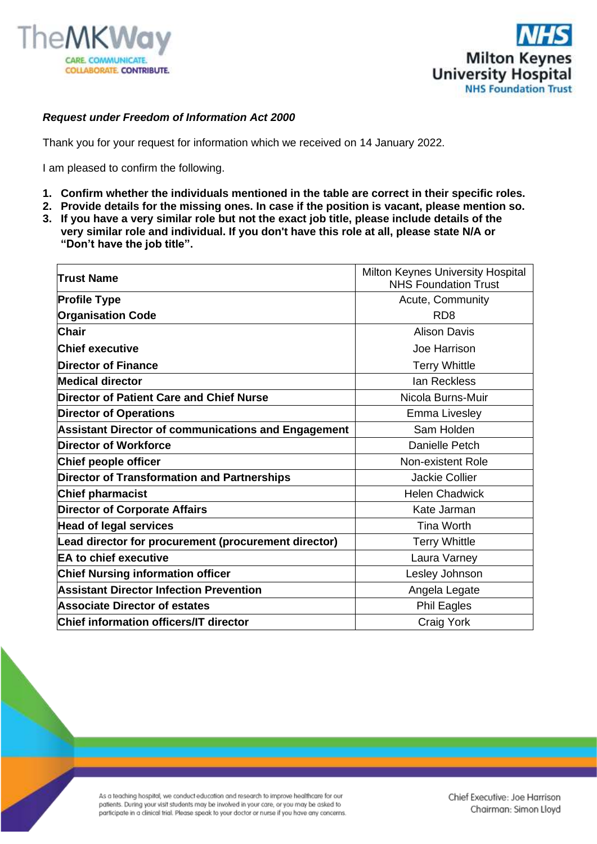



## *Request under Freedom of Information Act 2000*

Thank you for your request for information which we received on 14 January 2022.

I am pleased to confirm the following.

- **1. Confirm whether the individuals mentioned in the table are correct in their specific roles.**
- **2. Provide details for the missing ones. In case if the position is vacant, please mention so.**
- **3. If you have a very similar role but not the exact job title, please include details of the very similar role and individual. If you don't have this role at all, please state N/A or "Don't have the job title".**

| Milton Keynes University Hospital<br><b>NHS Foundation Trust</b> |
|------------------------------------------------------------------|
| Acute, Community                                                 |
| RD <sub>8</sub>                                                  |
| <b>Alison Davis</b>                                              |
| Joe Harrison                                                     |
| <b>Terry Whittle</b>                                             |
| lan Reckless                                                     |
| Nicola Burns-Muir                                                |
| Emma Livesley                                                    |
| Sam Holden                                                       |
| Danielle Petch                                                   |
| Non-existent Role                                                |
| <b>Jackie Collier</b>                                            |
| <b>Helen Chadwick</b>                                            |
| Kate Jarman                                                      |
| <b>Tina Worth</b>                                                |
| <b>Terry Whittle</b>                                             |
| Laura Varney                                                     |
| Lesley Johnson                                                   |
| Angela Legate                                                    |
| <b>Phil Eagles</b>                                               |
| Craig York                                                       |
|                                                                  |

As a teaching hospital, we conduct education and research to improve healthcare for our patients. During your visit students may be involved in your care, or you may be asked to participate in a clinical trial. Please speak to your doctor or nurse if you have any concerns.